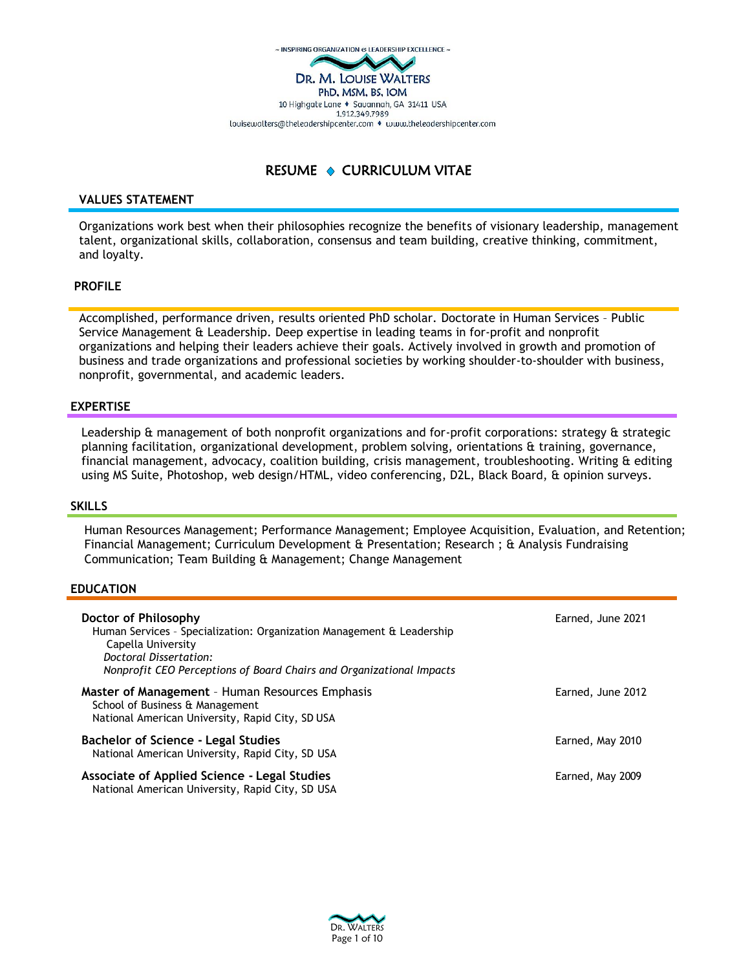

# RESUME  $\triangle$  CURRICULUM VITAE

## **VALUES STATEMENT**

Organizations work best when their philosophies recognize the benefits of visionary leadership, management talent, organizational skills, collaboration, consensus and team building, creative thinking, commitment, and loyalty.

# **PROFILE**

Accomplished, performance driven, results oriented PhD scholar. Doctorate in Human Services – Public Service Management & Leadership. Deep expertise in leading teams in for-profit and nonprofit organizations and helping their leaders achieve their goals. Actively involved in growth and promotion of business and trade organizations and professional societies by working shoulder-to-shoulder with business, nonprofit, governmental, and academic leaders.

# **EXPERTISE**

Leadership & management of both nonprofit organizations and for-profit corporations: strategy & strategic planning facilitation, organizational development, problem solving, orientations & training, governance, financial management, advocacy, coalition building, crisis management, troubleshooting. Writing & editing using MS Suite, Photoshop, web design/HTML, video conferencing, D2L, Black Board, & opinion surveys.

## **SKILLS**

Human Resources Management; Performance Management; Employee Acquisition, Evaluation, and Retention; Financial Management; Curriculum Development & Presentation; Research ; & Analysis Fundraising Communication; Team Building & Management; Change Management

## **EDUCATION**

| Doctor of Philosophy<br>Human Services - Specialization: Organization Management & Leadership<br>Capella University<br>Doctoral Dissertation:<br>Nonprofit CEO Perceptions of Board Chairs and Organizational Impacts | Earned, June 2021 |
|-----------------------------------------------------------------------------------------------------------------------------------------------------------------------------------------------------------------------|-------------------|
| Master of Management - Human Resources Emphasis<br>School of Business & Management<br>National American University, Rapid City, SD USA                                                                                | Earned, June 2012 |
| <b>Bachelor of Science - Legal Studies</b><br>National American University, Rapid City, SD USA                                                                                                                        | Earned, May 2010  |
| <b>Associate of Applied Science - Legal Studies</b><br>National American University, Rapid City, SD USA                                                                                                               | Earned, May 2009  |

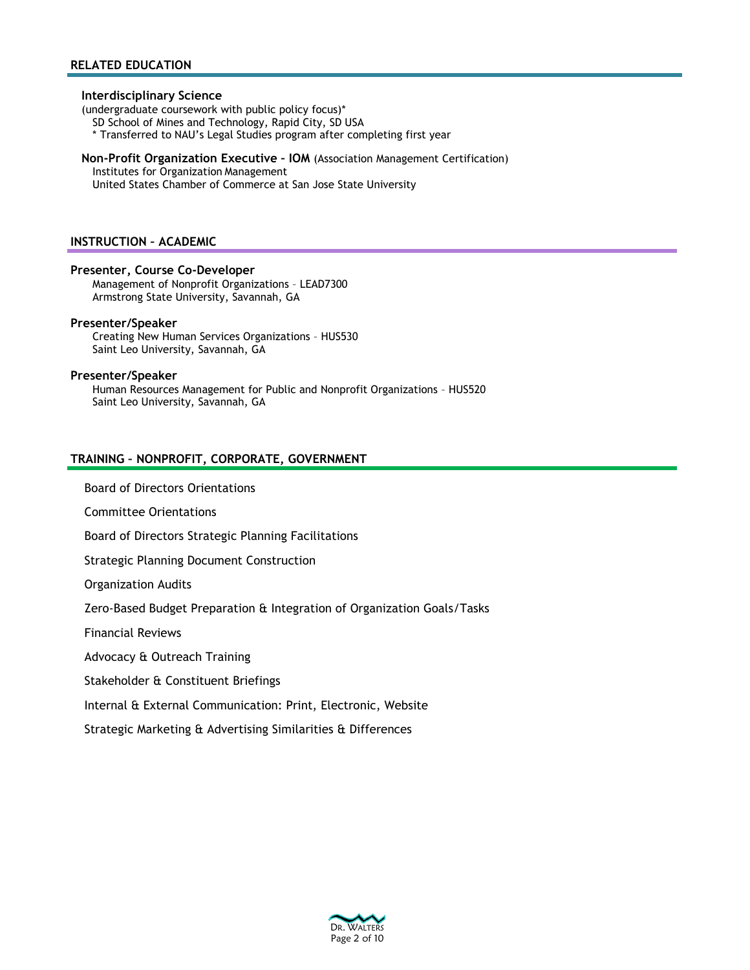#### **Interdisciplinary Science**

(undergraduate coursework with public policy focus)\*

SD School of Mines and Technology, Rapid City, SD USA

\* Transferred to NAU's Legal Studies program after completing first year

# **Non-Profit Organization Executive – IOM** (Association Management Certification)

Institutes for Organization Management

United States Chamber of Commerce at San Jose State University

#### **INSTRUCTION – ACADEMIC**

### **Presenter, Course Co-Developer**

Management of Nonprofit Organizations – LEAD7300 Armstrong State University, Savannah, GA

### **Presenter/Speaker**

Creating New Human Services Organizations – HUS530 Saint Leo University, Savannah, GA

### **Presenter/Speaker**

Human Resources Management for Public and Nonprofit Organizations – HUS520 Saint Leo University, Savannah, GA

## **TRAINING – NONPROFIT, CORPORATE, GOVERNMENT**

Board of Directors Orientations

Committee Orientations

Board of Directors Strategic Planning Facilitations

Strategic Planning Document Construction

Organization Audits

Zero-Based Budget Preparation & Integration of Organization Goals/Tasks

Financial Reviews

Advocacy & Outreach Training

Stakeholder & Constituent Briefings

Internal & External Communication: Print, Electronic, Website

Strategic Marketing & Advertising Similarities & Differences

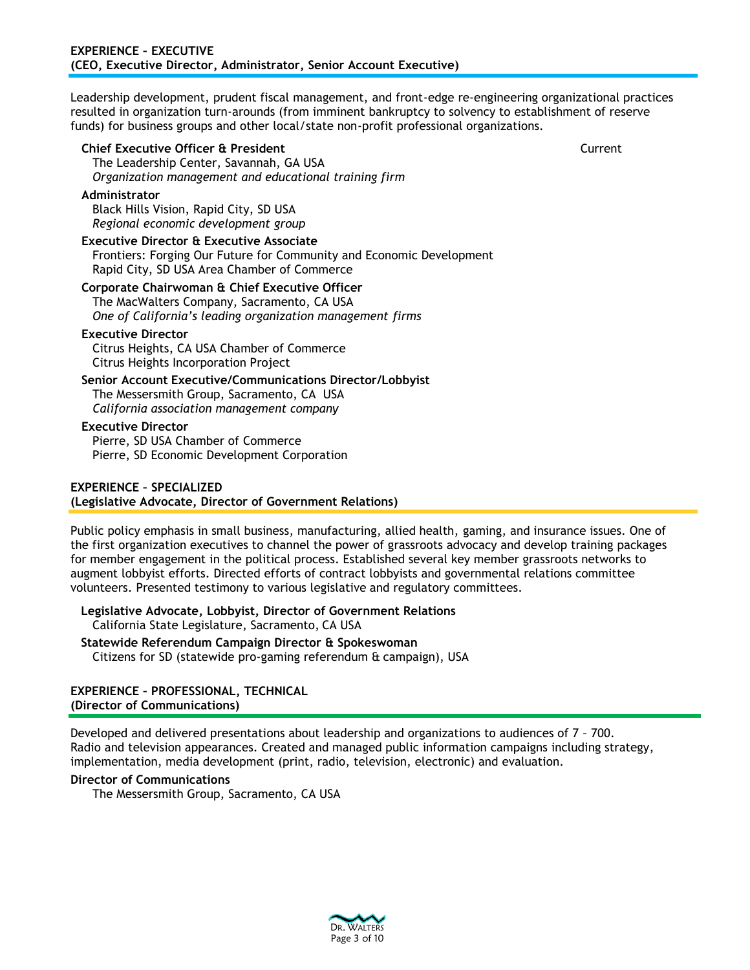Leadership development, prudent fiscal management, and front-edge re-engineering organizational practices resulted in organization turn-arounds (from imminent bankruptcy to solvency to establishment of reserve funds) for business groups and other local/state non-profit professional organizations.

**Chief Executive Officer & President** Current

The Leadership Center, Savannah, GA USA *Organization management and educational training firm*

## **Administrator**

Black Hills Vision, Rapid City, SD USA *Regional economic development group*

## **Executive Director & Executive Associate**

Frontiers: Forging Our Future for Community and Economic Development Rapid City, SD USA Area Chamber of Commerce

## **Corporate Chairwoman & Chief Executive Officer**

The MacWalters Company, Sacramento, CA USA *One of California's leading organization management firms*

### **Executive Director**

Citrus Heights, CA USA Chamber of Commerce Citrus Heights Incorporation Project

**Senior Account Executive/Communications Director/Lobbyist** The Messersmith Group, Sacramento, CA USA *California association management company*

### **Executive Director**

Pierre, SD USA Chamber of Commerce Pierre, SD Economic Development Corporation

## **EXPERIENCE – SPECIALIZED**

# **(Legislative Advocate, Director of Government Relations)**

Public policy emphasis in small business, manufacturing, allied health, gaming, and insurance issues. One of the first organization executives to channel the power of grassroots advocacy and develop training packages for member engagement in the political process. Established several key member grassroots networks to augment lobbyist efforts. Directed efforts of contract lobbyists and governmental relations committee volunteers. Presented testimony to various legislative and regulatory committees.

### **Legislative Advocate, Lobbyist, Director of Government Relations** California State Legislature, Sacramento, CA USA

#### **Statewide Referendum Campaign Director & Spokeswoman** Citizens for SD (statewide pro-gaming referendum & campaign), USA

# **EXPERIENCE – PROFESSIONAL, TECHNICAL (Director of Communications)**

Developed and delivered presentations about leadership and organizations to audiences of 7 – 700. Radio and television appearances. Created and managed public information campaigns including strategy, implementation, media development (print, radio, television, electronic) and evaluation.

## **Director of Communications**

The Messersmith Group, Sacramento, CA USA

DR. WALTERS Page 3 of 10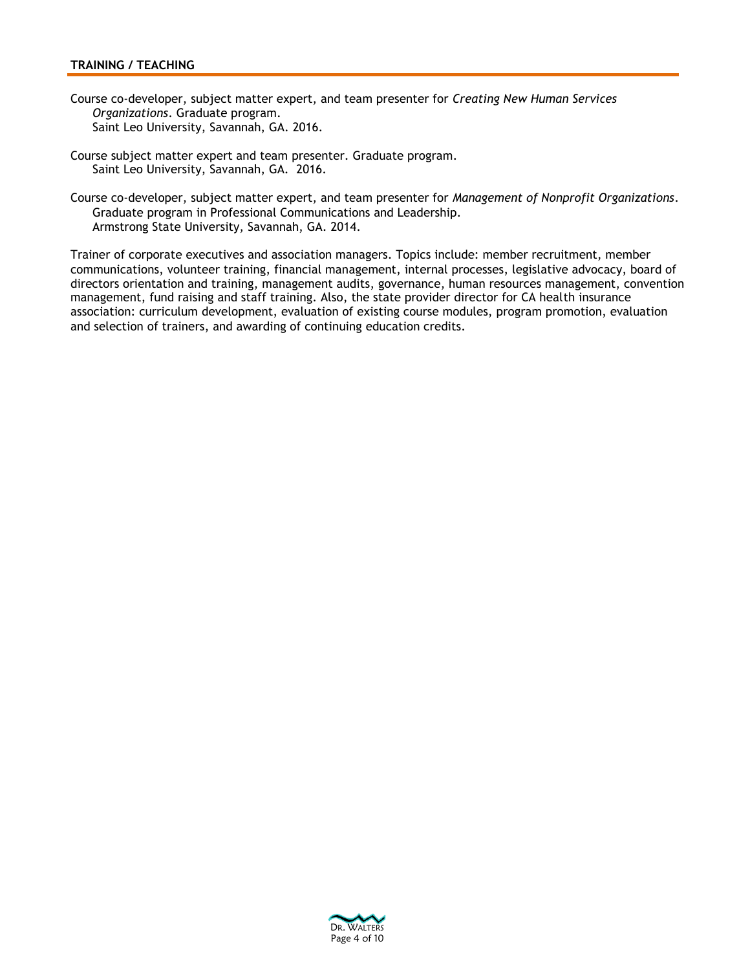# **TRAINING / TEACHING**

- Course co-developer, subject matter expert, and team presenter for *Creating New Human Services Organizations*. Graduate program. Saint Leo University, Savannah, GA. 2016.
- Course subject matter expert and team presenter. Graduate program. Saint Leo University, Savannah, GA. 2016.
- Course co-developer, subject matter expert, and team presenter for *Management of Nonprofit Organizations*. Graduate program in Professional Communications and Leadership. Armstrong State University, Savannah, GA. 2014.

Trainer of corporate executives and association managers. Topics include: member recruitment, member communications, volunteer training, financial management, internal processes, legislative advocacy, board of directors orientation and training, management audits, governance, human resources management, convention management, fund raising and staff training. Also, the state provider director for CA health insurance association: curriculum development, evaluation of existing course modules, program promotion, evaluation and selection of trainers, and awarding of continuing education credits.

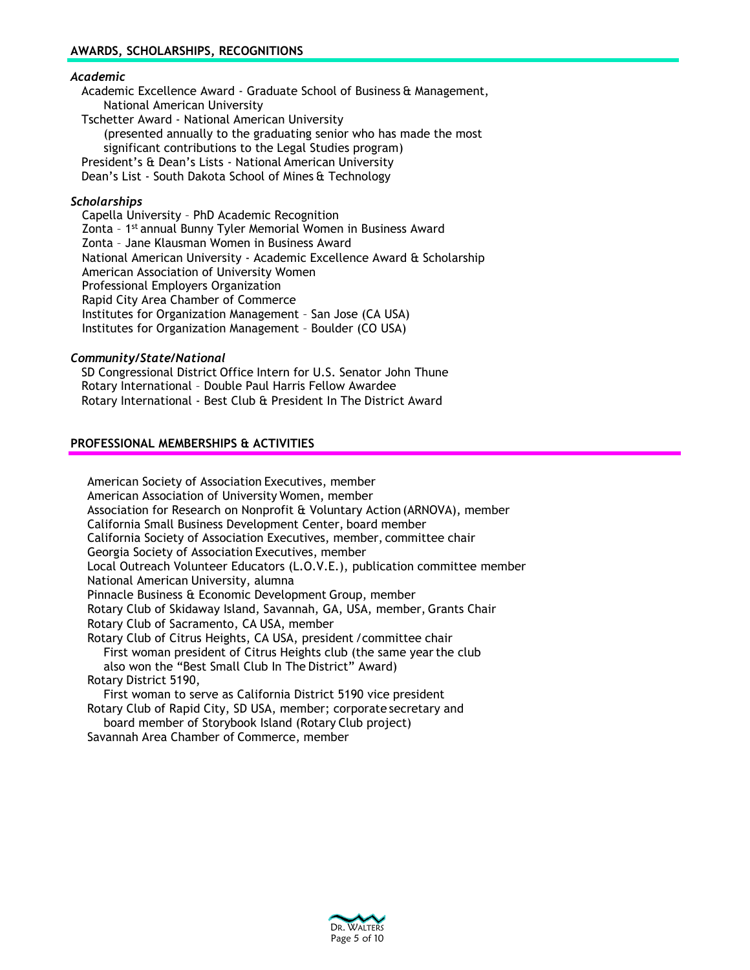## *Academic*

Academic Excellence Award - Graduate School of Business & Management, National American University

Tschetter Award - National American University (presented annually to the graduating senior who has made the most significant contributions to the Legal Studies program) President's & Dean's Lists - National American University Dean's List - South Dakota School of Mines & Technology

## *Scholarships*

Capella University – PhD Academic Recognition Zonta - 1<sup>st</sup> annual Bunny Tyler Memorial Women in Business Award Zonta – Jane Klausman Women in Business Award National American University - Academic Excellence Award & Scholarship American Association of University Women Professional Employers Organization Rapid City Area Chamber of Commerce Institutes for Organization Management – San Jose (CA USA) Institutes for Organization Management – Boulder (CO USA)

### *Community/State/National*

SD Congressional District Office Intern for U.S. Senator John Thune Rotary International – Double Paul Harris Fellow Awardee Rotary International - Best Club & President In The District Award

### **PROFESSIONAL MEMBERSHIPS & ACTIVITIES**

American Society of Association Executives, member American Association of University Women, member Association for Research on Nonprofit & Voluntary Action (ARNOVA), member California Small Business Development Center, board member California Society of Association Executives, member, committee chair Georgia Society of Association Executives, member Local Outreach Volunteer Educators (L.O.V.E.), publication committee member National American University, alumna Pinnacle Business & Economic Development Group, member Rotary Club of Skidaway Island, Savannah, GA, USA, member, Grants Chair Rotary Club of Sacramento, CA USA, member Rotary Club of Citrus Heights, CA USA, president /committee chair First woman president of Citrus Heights club (the same yearthe club also won the "Best Small Club In The District" Award) Rotary District 5190, First woman to serve as California District 5190 vice president Rotary Club of Rapid City, SD USA, member; corporate secretary and board member of Storybook Island (Rotary Club project)

Savannah Area Chamber of Commerce, member

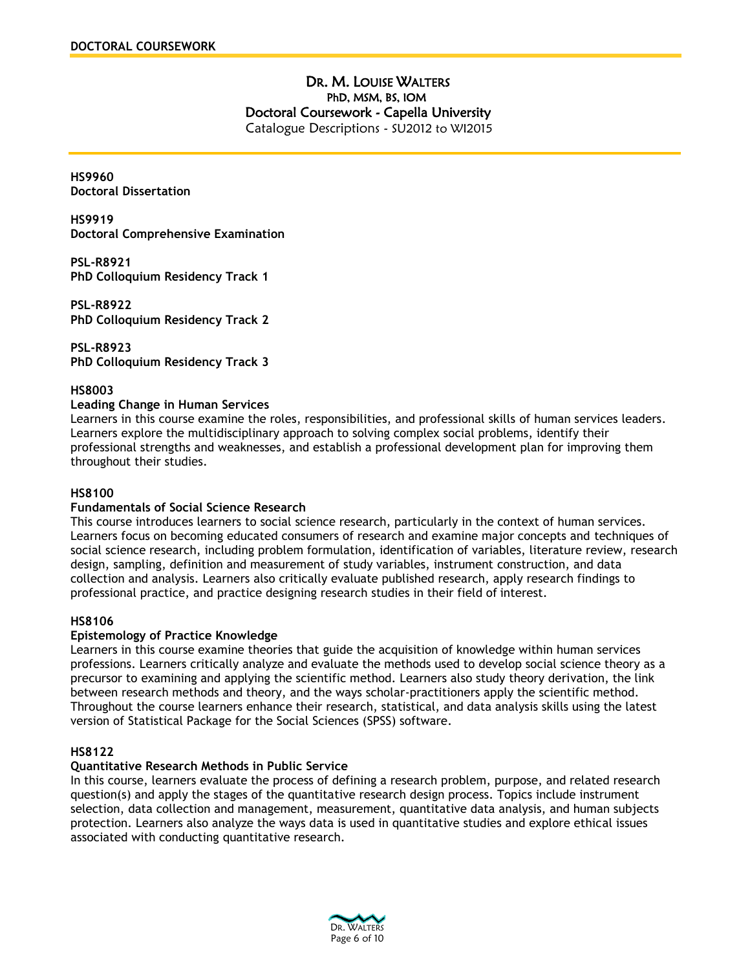# DR. M. LOUISE WALTERS PhD, MSM, BS, IOM Doctoral Coursework - Capella University Catalogue Descriptions - SU2012 to WI2015

**HS9960 Doctoral Dissertation**

**HS9919 Doctoral Comprehensive Examination**

**PSL-R8921 PhD Colloquium Residency Track 1**

**PSL-R8922 PhD Colloquium Residency Track 2**

**PSL-R8923 PhD Colloquium Residency Track 3**

**HS8003**

## **Leading Change in Human Services**

Learners in this course examine the roles, responsibilities, and professional skills of human services leaders. Learners explore the multidisciplinary approach to solving complex social problems, identify their professional strengths and weaknesses, and establish a professional development plan for improving them throughout their studies.

## **HS8100**

## **Fundamentals of Social Science Research**

This course introduces learners to social science research, particularly in the context of human services. Learners focus on becoming educated consumers of research and examine major concepts and techniques of social science research, including problem formulation, identification of variables, literature review, research design, sampling, definition and measurement of study variables, instrument construction, and data collection and analysis. Learners also critically evaluate published research, apply research findings to professional practice, and practice designing research studies in their field of interest.

## **HS8106**

## **Epistemology of Practice Knowledge**

Learners in this course examine theories that guide the acquisition of knowledge within human services professions. Learners critically analyze and evaluate the methods used to develop social science theory as a precursor to examining and applying the scientific method. Learners also study theory derivation, the link between research methods and theory, and the ways scholar-practitioners apply the scientific method. Throughout the course learners enhance their research, statistical, and data analysis skills using the latest version of Statistical Package for the Social Sciences (SPSS) software.

## **HS8122**

## **Quantitative Research Methods in Public Service**

In this course, learners evaluate the process of defining a research problem, purpose, and related research question(s) and apply the stages of the quantitative research design process. Topics include instrument selection, data collection and management, measurement, quantitative data analysis, and human subjects protection. Learners also analyze the ways data is used in quantitative studies and explore ethical issues associated with conducting quantitative research.

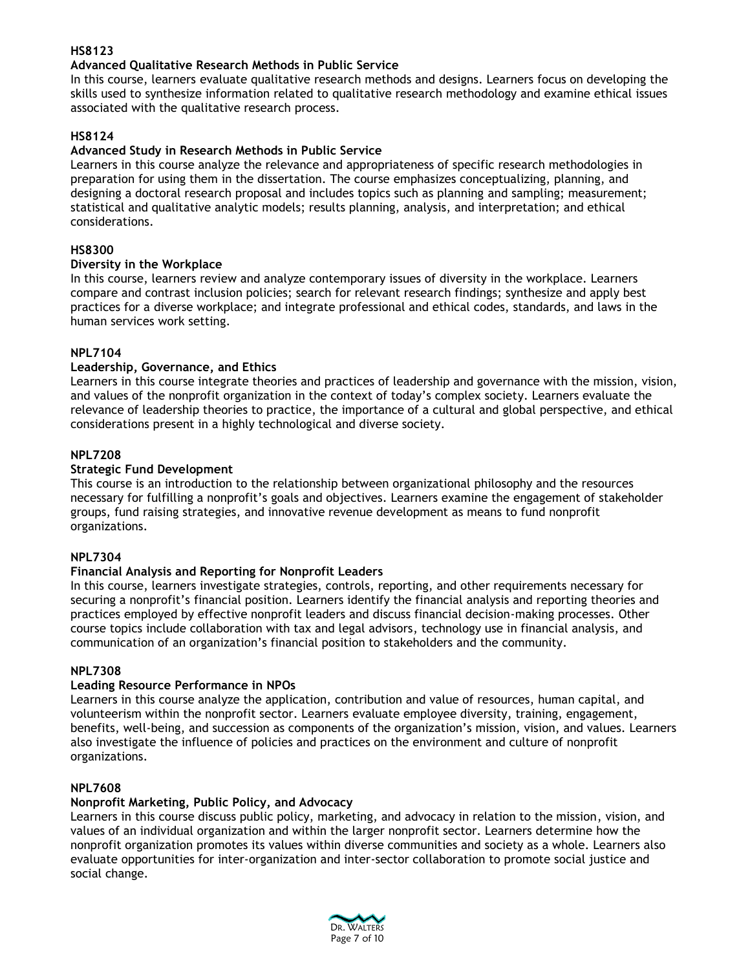# **HS8123**

# **Advanced Qualitative Research Methods in Public Service**

In this course, learners evaluate qualitative research methods and designs. Learners focus on developing the skills used to synthesize information related to qualitative research methodology and examine ethical issues associated with the qualitative research process.

# **HS8124**

## **Advanced Study in Research Methods in Public Service**

Learners in this course analyze the relevance and appropriateness of specific research methodologies in preparation for using them in the dissertation. The course emphasizes conceptualizing, planning, and designing a doctoral research proposal and includes topics such as planning and sampling; measurement; statistical and qualitative analytic models; results planning, analysis, and interpretation; and ethical considerations.

# **HS8300**

# **Diversity in the Workplace**

In this course, learners review and analyze contemporary issues of diversity in the workplace. Learners compare and contrast inclusion policies; search for relevant research findings; synthesize and apply best practices for a diverse workplace; and integrate professional and ethical codes, standards, and laws in the human services work setting.

# **NPL7104**

# **Leadership, Governance, and Ethics**

Learners in this course integrate theories and practices of leadership and governance with the mission, vision, and values of the nonprofit organization in the context of today's complex society. Learners evaluate the relevance of leadership theories to practice, the importance of a cultural and global perspective, and ethical considerations present in a highly technological and diverse society.

# **NPL7208**

# **Strategic Fund Development**

This course is an introduction to the relationship between organizational philosophy and the resources necessary for fulfilling a nonprofit's goals and objectives. Learners examine the engagement of stakeholder groups, fund raising strategies, and innovative revenue development as means to fund nonprofit organizations.

## **NPL7304**

# **Financial Analysis and Reporting for Nonprofit Leaders**

In this course, learners investigate strategies, controls, reporting, and other requirements necessary for securing a nonprofit's financial position. Learners identify the financial analysis and reporting theories and practices employed by effective nonprofit leaders and discuss financial decision-making processes. Other course topics include collaboration with tax and legal advisors, technology use in financial analysis, and communication of an organization's financial position to stakeholders and the community.

## **NPL7308**

# **Leading Resource Performance in NPOs**

Learners in this course analyze the application, contribution and value of resources, human capital, and volunteerism within the nonprofit sector. Learners evaluate employee diversity, training, engagement, benefits, well-being, and succession as components of the organization's mission, vision, and values. Learners also investigate the influence of policies and practices on the environment and culture of nonprofit organizations.

## **NPL7608**

## **Nonprofit Marketing, Public Policy, and Advocacy**

Learners in this course discuss public policy, marketing, and advocacy in relation to the mission, vision, and values of an individual organization and within the larger nonprofit sector. Learners determine how the nonprofit organization promotes its values within diverse communities and society as a whole. Learners also evaluate opportunities for inter-organization and inter-sector collaboration to promote social justice and social change.

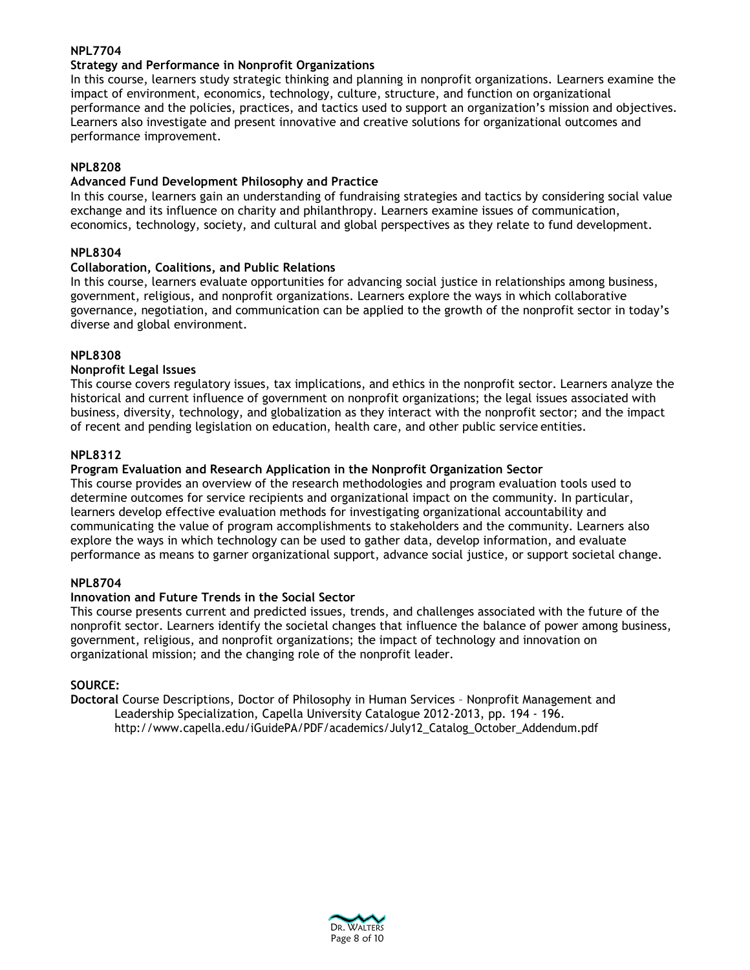## **NPL7704**

# **Strategy and Performance in Nonprofit Organizations**

In this course, learners study strategic thinking and planning in nonprofit organizations. Learners examine the impact of environment, economics, technology, culture, structure, and function on organizational performance and the policies, practices, and tactics used to support an organization's mission and objectives. Learners also investigate and present innovative and creative solutions for organizational outcomes and performance improvement.

## **NPL8208**

# **Advanced Fund Development Philosophy and Practice**

In this course, learners gain an understanding of fundraising strategies and tactics by considering social value exchange and its influence on charity and philanthropy. Learners examine issues of communication, economics, technology, society, and cultural and global perspectives as they relate to fund development.

# **NPL8304**

# **Collaboration, Coalitions, and Public Relations**

In this course, learners evaluate opportunities for advancing social justice in relationships among business, government, religious, and nonprofit organizations. Learners explore the ways in which collaborative governance, negotiation, and communication can be applied to the growth of the nonprofit sector in today's diverse and global environment.

# **NPL8308**

# **Nonprofit Legal Issues**

This course covers regulatory issues, tax implications, and ethics in the nonprofit sector. Learners analyze the historical and current influence of government on nonprofit organizations; the legal issues associated with business, diversity, technology, and globalization as they interact with the nonprofit sector; and the impact of recent and pending legislation on education, health care, and other public service entities.

# **NPL8312**

# **Program Evaluation and Research Application in the Nonprofit Organization Sector**

This course provides an overview of the research methodologies and program evaluation tools used to determine outcomes for service recipients and organizational impact on the community. In particular, learners develop effective evaluation methods for investigating organizational accountability and communicating the value of program accomplishments to stakeholders and the community. Learners also explore the ways in which technology can be used to gather data, develop information, and evaluate performance as means to garner organizational support, advance social justice, or support societal change.

## **NPL8704**

## **Innovation and Future Trends in the Social Sector**

This course presents current and predicted issues, trends, and challenges associated with the future of the nonprofit sector. Learners identify the societal changes that influence the balance of power among business, government, religious, and nonprofit organizations; the impact of technology and innovation on organizational mission; and the changing role of the nonprofit leader.

## **SOURCE:**

**Doctoral** Course Descriptions, Doctor of Philosophy in Human Services – Nonprofit Management and Leadership Specialization, Capella University Catalogue 2012-2013, pp. 194 - 196[.](http://www.capella.edu/iGuidePA/PDF/academics/July12_Catalog_October_Addendum.pdf) [http://www.capella.edu/iGuidePA/PDF/academics/July12\\_Catalog\\_October\\_Addendum.pdf](http://www.capella.edu/iGuidePA/PDF/academics/July12_Catalog_October_Addendum.pdf)

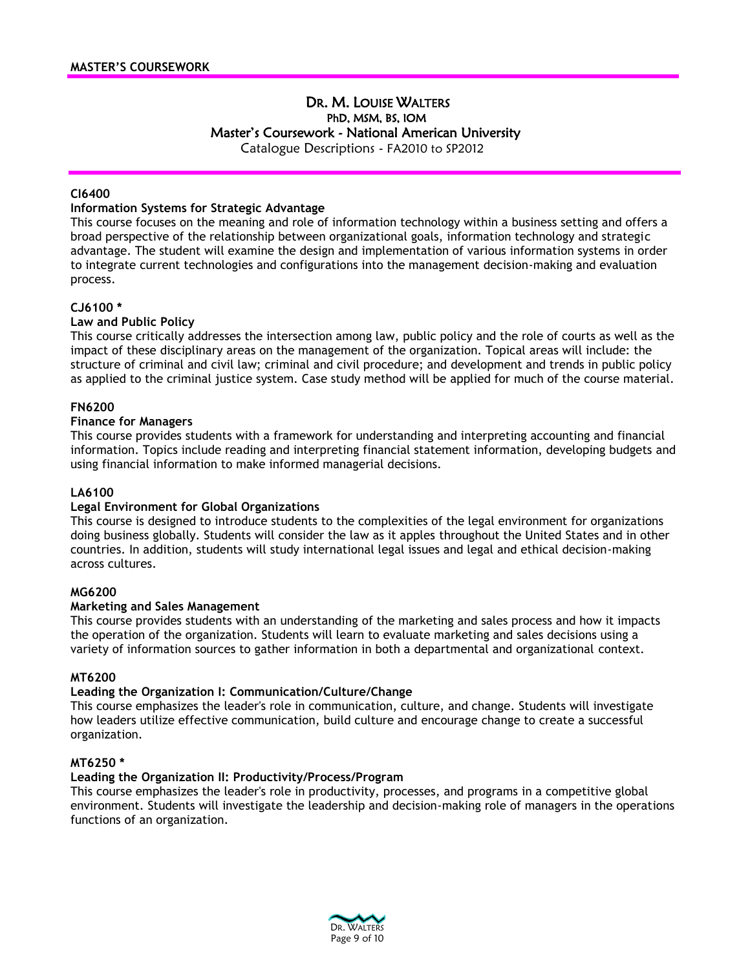# DR. M. LOUISE WALTERS PhD, MSM, BS, IOM Master's Coursework - National American University Catalogue Descriptions - FA2010 to SP2012

**CI6400**

## **Information Systems for Strategic Advantage**

This course focuses on the meaning and role of information technology within a business setting and offers a broad perspective of the relationship between organizational goals, information technology and strategic advantage. The student will examine the design and implementation of various information systems in order to integrate current technologies and configurations into the management decision-making and evaluation process.

### **CJ6100 \***

### **Law and Public Policy**

This course critically addresses the intersection among law, public policy and the role of courts as well as the impact of these disciplinary areas on the management of the organization. Topical areas will include: the structure of criminal and civil law; criminal and civil procedure; and development and trends in public policy as applied to the criminal justice system. Case study method will be applied for much of the course material.

## **FN6200**

## **Finance for Managers**

This course provides students with a framework for understanding and interpreting accounting and financial information. Topics include reading and interpreting financial statement information, developing budgets and using financial information to make informed managerial decisions.

## **LA6100**

### **Legal Environment for Global Organizations**

This course is designed to introduce students to the complexities of the legal environment for organizations doing business globally. Students will consider the law as it apples throughout the United States and in other countries. In addition, students will study international legal issues and legal and ethical decision-making across cultures.

### **MG6200**

### **Marketing and Sales Management**

This course provides students with an understanding of the marketing and sales process and how it impacts the operation of the organization. Students will learn to evaluate marketing and sales decisions using a variety of information sources to gather information in both a departmental and organizational context.

### **MT6200**

### **Leading the Organization I: Communication/Culture/Change**

This course emphasizes the leader's role in communication, culture, and change. Students will investigate how leaders utilize effective communication, build culture and encourage change to create a successful organization.

### **MT6250 \***

### **Leading the Organization II: Productivity/Process/Program**

This course emphasizes the leader's role in productivity, processes, and programs in a competitive global environment. Students will investigate the leadership and decision-making role of managers in the operations functions of an organization.